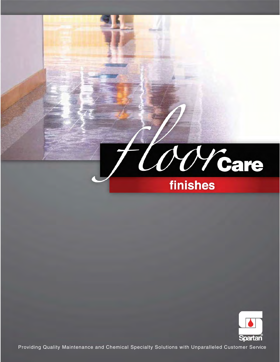



Providing Quality Maintenance and Chemical Specialty Solutions with Unparalleled Customer Service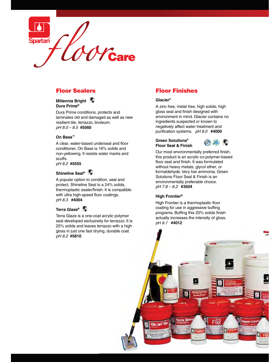

## Floor Sealers

#### **Dura Prime® Millennia Bright**

 pH 8.0 – 8.5 **#5560**  Dura Prime conditions, protects and laminates old and damaged as well as new resilient tile, terrazzo, linoleum.

#### **On Base™**

A clear, water-based underseal and floor conditioner, On Base is 16% solids and non-yellowing. It resists water marks and scuffs.

pH 8.2 **#5555** 

#### **Shineline Seal®**

 pH 8.3 **#4004**  A popular option to condition, seal and protect, Shineline Seal is a 24% solids, thermoplastic sealer/finish. It is compatible with ultra high-speed floor coatings.

#### **Terra Glaze®**

 pH 8.2 **#5810**  Terra Glaze is a one-coat acrylic polymer seal developed exclusively for terrazzo. It is 25% solids and leaves terrazzo with a high gloss in just one fast drying, durable coat. at acrylic polymer<br>/ely for terrazzo. It is<br>terrazzo with a higł<br>ying, durable coat.

# Floor Finishes

#### **Glacier®**

 purification systems. pH 8.0 **#4000**  A zinc free, metal free, high solids, high gloss seal and finish designed with environment in mind. Glacier contains no ingredients suspected or known to negatively affect water treatment and

#### **Green Solutions® Floor Seal & Finish**



 environmentally preferable choice. pH 7.8 – 8.2 **#3504**  Our most environmentally preferred finish, this product is an acrylic co-polymer-based floor seal and finish. It was formulated without heavy metals, glycol ether, or formaldehyde. Very low ammonia. Green Solutions Floor Seal & Finish is an

#### **High Frontier®**

 pH 8.7 **#4012** 8.7 **#4012**  . programs Buffing this 20% solids finish programs. Buffing this 20% solids finish<br>actually increases the intensity of gloss. High Frontier is a thermoplastic floor coating for use in aggressive buffing

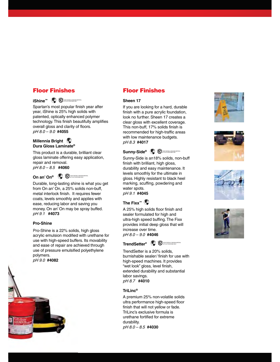#### **Floor Finishes**

# Floor Finishes FLOOR COATING & FINISHING MATERIAL AS TO SLIP RESISTANCE ONLY **iShine™**

 pH 8.0 – 9.0 **#4055**  Spartan's most popular finish year after year, iShine is 25% high solids with patented, optically enhanced polymer technology. This finish beautifully amplifies overall gloss and clarity of floors.

#### **Dura Gloss Laminate® Millennia Bright**

 pH 8.0 – 8.5 **#4060**  This product is a durable, brilliant clear gloss laminate offering easy application, repair and removal.

**On an' On® <sup>@</sup> OU** ASSESSME ONLY MATERIAL

 pH 9.1 **#4073** 9.1 **#4073**  Durable, long-lasting shine is what you get from On an' On, a 25% solids non-buff, metal interlock finish. It requires fewer coats, levels smoothly and applies with ease, reducing labor and saving you money. On an' On may be spray buffed.

#### **Pro-Shine**

acrylic emulsion modified with urethane for use with high-speed buffers. Its movability use of pressure emulsified polyethylene polymers. polymers. Pro-Shine is a 22% solids, high gloss and ease of repair are achieved through



# Floor Finishes

#### **Sheen 17**

 pH 8.3 **#4017**  If you are looking for a hard, durable finish with a pure acrylic foundation, look no further. Sheen 17 creates a clear gloss with excellent coverage. This non-buff, 17% solids finish is recommended for high-traffic areas with low maintenance budgets.



Sunny-Side is an18% solids, non-buff finish with brilliant, high gloss, durability and easy maintenance. It levels smoothly for the ultimate in gloss. Highly resistant to black heel marking, scuffing, powdering and water spots.

pH 9.1 **#4045** 

### **The Fixx™**

A 25% high solids floor finish and sealer formulated for high and ultra-high speed buffing. The Fixx provides initial deep gloss that will increase over time. pH 8.0 – 9.0 **#4046** 

**TrendSetter<sup>®</sup>**  $\bigoplus$   $\bigoplus$  subsectable and finishing and finite and  $\bigoplus$ 

 pH 8.7 **#4010**  TrendSetter is a 20% solids, burnishable sealer/ finish for use with high-speed machines. It provides "wet look" gloss, level finish, extended durability and substantial labor savings.

#### **TriLinc®**

 pH 8.0 – 8.5 **#4030** A premium 25% non-volatile solids ultra performance high-speed floor finish that will not yellow or fade. TriLinc's exclusive formula is urethane fortified for extreme durability.







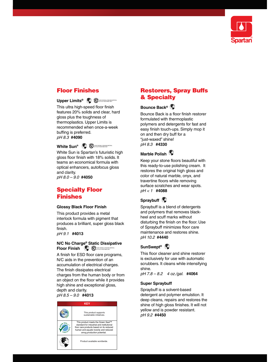

#### **Floor Finishes** Floor Finishes

#### Upper Limits<sup>®</sup> <sup>(</sup> $\bullet$ <sup>1</sup> Of the comparison coating and  $\bullet$

 pH 8.3 **#4090**  This ultra high-speed floor finish features 20% solids and clear, hard gloss plus the toughness of thermoplastics. Upper Limits is recommended when once-a-week buffing is preferred.



 pH 8.0 – 9.0 **#4050**  White Sun is Spartan's futuristic high gloss floor finish with 18% solids. It teams an economical formula with optical enhancers, autofocus gloss and clarity.

### Specialty Floor Finishes

#### **Glossy Black Floor Finish**

This product provides a metal interlock formula with pigment that produces a brilliant, super gloss black finish.

pH 9.1 **#4013** 

#### Floor Finish  $\bigcirc$  **Finish and**  $\bigcirc$ **N/C No Charge® Static Dissipative**

A finish for ESD floor care programs, N/C aids in the prevention of an accumulation of electrical charges. The finish dissipates electrical charges from the human body or from an object on the floor while it provides high shine and exceptional gloss, depth and clarity.

pH 8.5 – 9.0 **#4013** 

### **KEY**  This product supports sustainable initiatives. This product meets the Green Seal™ standard for industrial and institutional floor care products based on its reduced human and aquatic toxicity and reduced smog production potential. Product available worldwide.

### Restorers, Spray Buffs<br>& Specialty & Specialty

#### **Bounce Back®**

 pH 8.3 **#4330**  Bounce Back is a floor finish restorer formulated with thermoplastic polymers and detergents for fast and easy finish touch-ups. Simply mop it on and then dry buff for a "just-waxed" shine!

#### **Marble Polish**

 pH < 1 **#4088**  Keep your stone floors beautiful with this ready-to-use polishing cream. It restores the original high gloss and color of natural marble, onyx, and travertine floors while removing surface scratches and wear spots.

### **Spraybuff**

 pH 10.2 **#4440**  Spraybuff is a blend of detergents and polymers that removes blackheel and scuff marks without disturbing the finish on the floor. Use of Spraybuff minimizes floor care maintenance and restores shine.

#### **SunSwept®**

This floor cleaner and shine restorer is exclusively for use with automatic scrubbers. It cleans while intensifying shine.

pH 7.8 – 8.2 4 oz./gal. **#4064** 

#### **Super Spraybuff**

 pH 9.2 **#4450** Spraybuff is a solvent-based detergent and polymer emulstion. It deep cleans, repairs and restores the shine of high gloss finishes. It will not yellow and is powder resistant.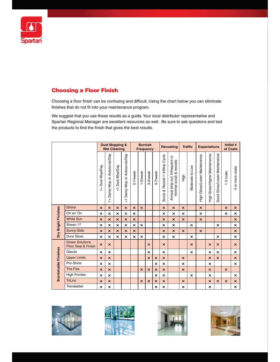

#### **Choosing a Floor Finish**

Choosing a floor finish can be confusing and difficult. Using the chart below you can eliminate finishes that do not fit into your maintenance program.

We suggest that you use these results as a guide. Your local distributor representative and Spartan Regional Manager are excellent resources as well. Be sure to ask questions and test the products to find the finish that gives the best results.

|                             |                                                          | <b>Dust Mopping &amp;</b><br><b>Wet Cleaning</b> |                                            |                                         | <b>Burnish</b><br><b>Frequency</b>             |                           |                           | Recoating                 |                           | <b>Traffic</b>                 |                                                            | <b>Expectations</b>       |                           | Initial #<br>of Coats                |                                         |                              |                           |                               |
|-----------------------------|----------------------------------------------------------|--------------------------------------------------|--------------------------------------------|-----------------------------------------|------------------------------------------------|---------------------------|---------------------------|---------------------------|---------------------------|--------------------------------|------------------------------------------------------------|---------------------------|---------------------------|--------------------------------------|-----------------------------------------|------------------------------|---------------------------|-------------------------------|
|                             |                                                          | Dust Mop/Day<br>$\frac{1}{1}$                    | Damp Mop or Autoscrub/Day<br>$\frac{1}{1}$ | Dust Mop/Day<br>$\overline{\mathbf{v}}$ | Damp Mop or Autoscrub/Day<br>$\overline{\vee}$ | $0-1$ /week               | 1-2/week                  | 3-4/week                  | 5-7/week                  | Scrub & Recoat 1-4/Strip Cycle | Annual strip out; Infrequent or<br>minimal scrub & recoats | High                      | Moderate to Low           | Gloss/Lower Maintenance<br>-<br>High | Gloss/Higher Maintenance<br>こ<br>王<br>エ | Good Gloss/Lower Maintenance | -3 coats                  | or more coats<br>$\downarrow$ |
| Dry Bright Finishes         | <b>iShine</b>                                            | $\boldsymbol{\mathsf{x}}$                        | $\overline{\mathsf{x}}$                    | $\boldsymbol{\mathsf{x}}$               | $\mathsf{x}$                                   | $\boldsymbol{\mathsf{x}}$ | $\boldsymbol{\mathsf{x}}$ |                           |                           | $\mathsf{x}$                   | $\overline{\mathsf{x}}$                                    | $\overline{\mathsf{x}}$   |                           | $\boldsymbol{\mathsf{x}}$            |                                         |                              | $\mathsf{x}$              | $\times$                      |
|                             | On an' On                                                | ×                                                | ×                                          | $\boldsymbol{\mathsf{x}}$               | $\boldsymbol{\mathsf{x}}$                      | $\times$                  |                           |                           |                           | $\times$                       | $\boldsymbol{\mathsf{x}}$                                  | $\boldsymbol{\mathsf{x}}$ |                           | ×                                    |                                         |                              | ×                         | ×                             |
|                             | <b>White Sun</b>                                         | $\boldsymbol{\mathsf{x}}$                        | $\overline{\mathsf{x}}$                    | $\boldsymbol{\mathsf{x}}$               | $\boldsymbol{\mathsf{x}}$                      | $\boldsymbol{\mathsf{x}}$ |                           |                           |                           | $\boldsymbol{\mathsf{x}}$      | $\overline{\mathsf{x}}$                                    | $\overline{\mathsf{x}}$   |                           | $\overline{\mathsf{x}}$              |                                         |                              |                           | $\mathsf{x}$                  |
|                             | Sheen 17                                                 | ×                                                | ×                                          | ×                                       | $\times$                                       | ×                         | $\times$                  |                           |                           | ×                              | ×                                                          |                           | $\times$                  |                                      |                                         | $\times$                     |                           | ×                             |
|                             | Sunny-Side                                               | $\times$                                         | $\overline{\mathsf{x}}$                    | $\boldsymbol{\mathsf{x}}$               | $\times$                                       | $\boldsymbol{\mathsf{x}}$ |                           |                           |                           | $\boldsymbol{\mathsf{x}}$      | $\overline{\mathsf{x}}$                                    | $\boldsymbol{\mathsf{x}}$ |                           | $\boldsymbol{\mathsf{x}}$            |                                         |                              |                           | $\mathsf{x}$                  |
|                             | Dura Gloss                                               | ×                                                | ×                                          | $\boldsymbol{\mathsf{x}}$               | $\times$                                       | $\boldsymbol{\mathsf{x}}$ | $\boldsymbol{\mathsf{x}}$ |                           |                           | $\times$                       | $\times$                                                   |                           | $\boldsymbol{\mathsf{x}}$ |                                      |                                         | $\boldsymbol{\mathsf{x}}$    |                           | $\boldsymbol{\mathsf{x}}$     |
| <b>Burnishable Finishes</b> | <b>Green Solutions</b><br><b>Floor Seal &amp; Finish</b> | $\boldsymbol{\mathsf{x}}$                        | $\mathsf{x}$                               |                                         |                                                |                           |                           | $\boldsymbol{\mathsf{x}}$ |                           | $\mathsf{x}$                   |                                                            |                           | $\mathsf{x}$              |                                      | $\boldsymbol{\mathsf{x}}$               | $\mathsf{x}$                 |                           | $\mathsf{x}$                  |
|                             | Glacier                                                  | $\boldsymbol{\mathsf{x}}$                        | $\times$                                   |                                         |                                                |                           |                           | $\boldsymbol{\mathsf{x}}$ |                           | $\mathsf{x}$                   |                                                            |                           | $\boldsymbol{\mathsf{x}}$ |                                      | $\times$                                | $\mathsf{x}$                 |                           | $\mathsf{x}$                  |
|                             | <b>Upper Limits</b>                                      | $\boldsymbol{\mathsf{x}}$                        | $\overline{\mathsf{x}}$                    |                                         |                                                |                           |                           | $\boldsymbol{\mathsf{x}}$ | $\boldsymbol{\mathsf{x}}$ | $\boldsymbol{\mathsf{x}}$      |                                                            | $\overline{\mathsf{x}}$   |                           |                                      | $\boldsymbol{\mathsf{x}}$               | $\mathsf{x}$                 |                           | $\mathsf{x}$                  |
|                             | Pro-Shine                                                | ×                                                | $\mathsf{x}$                               |                                         |                                                |                           |                           |                           | $\times$                  | ×                              |                                                            | ×                         |                           |                                      | $\boldsymbol{\times}$                   |                              |                           | $\times$                      |
|                             | The Fixx                                                 | $\overline{\mathsf{x}}$                          | $\overline{\mathsf{x}}$                    |                                         |                                                |                           | $\boldsymbol{\mathsf{x}}$ | $\boldsymbol{\mathsf{x}}$ | $\mathsf{x}$              | $\mathsf{x}$                   |                                                            | $\overline{\mathsf{x}}$   |                           |                                      | $\boldsymbol{\mathsf{x}}$               |                              | $\mathsf{x}$              |                               |
|                             | <b>High Frontier</b>                                     | ×                                                | ×                                          |                                         |                                                |                           |                           |                           | $\boldsymbol{\mathsf{x}}$ | $\mathsf{x}$                   |                                                            |                           | $\boldsymbol{\mathsf{x}}$ |                                      | ×                                       |                              |                           | ×                             |
|                             | <b>TriLinc</b>                                           | $\times$                                         | $\overline{\mathsf{x}}$                    |                                         |                                                |                           | $\times$                  | $\times$                  | $\overline{\mathsf{x}}$   | $\mathsf{x}$                   |                                                            | $\overline{\mathsf{x}}$   |                           |                                      | $\boldsymbol{\mathsf{x}}$               | $\overline{\mathsf{x}}$      | $\boldsymbol{\mathsf{x}}$ | $\mathsf{x}$                  |
|                             | Trendsetter                                              | ×                                                | $\times$                                   |                                         |                                                |                           |                           |                           | ×                         | $\times$                       |                                                            | ×                         |                           |                                      | $\times$                                |                              |                           | $\times$                      |